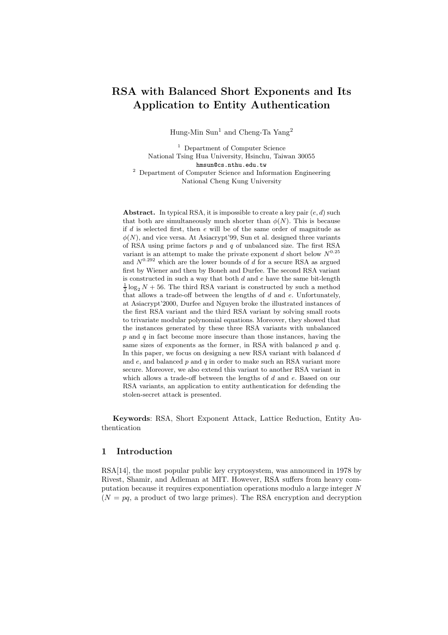# RSA with Balanced Short Exponents and Its Application to Entity Authentication

Hung-Min Sun<sup>1</sup> and Cheng-Ta Yang<sup>2</sup>

<sup>1</sup> Department of Computer Science National Tsing Hua University, Hsinchu, Taiwan 30055 hmsun@cs.nthu.edu.tw <sup>2</sup> Department of Computer Science and Information Engineering National Cheng Kung University

**Abstract.** In typical RSA, it is impossible to create a key pair  $(e, d)$  such that both are simultaneously much shorter than  $\phi(N)$ . This is because if  $d$  is selected first, then  $e$  will be of the same order of magnitude as  $\phi(N)$ , and vice versa. At Asiacrypt'99, Sun et al. designed three variants of RSA using prime factors  $p$  and  $q$  of unbalanced size. The first RSA variant is an attempt to make the private exponent  $d$  short below  $N^{0.25}$ and  $N^{0.292}$  which are the lower bounds of d for a secure RSA as argued first by Wiener and then by Boneh and Durfee. The second RSA variant is constructed in such a way that both  $d$  and  $e$  have the same bit-length  $\frac{1}{2} \log_2 N + 56$ . The third RSA variant is constructed by such a method that allows a trade-off between the lengths of  $d$  and  $e$ . Unfortunately, at Asiacrypt'2000, Durfee and Nguyen broke the illustrated instances of the first RSA variant and the third RSA variant by solving small roots to trivariate modular polynomial equations. Moreover, they showed that the instances generated by these three RSA variants with unbalanced  $p$  and  $q$  in fact become more insecure than those instances, having the same sizes of exponents as the former, in RSA with balanced  $p$  and  $q$ . In this paper, we focus on designing a new RSA variant with balanced d and  $e$ , and balanced  $p$  and  $q$  in order to make such an RSA variant more secure. Moreover, we also extend this variant to another RSA variant in which allows a trade-off between the lengths of  $d$  and  $e$ . Based on our RSA variants, an application to entity authentication for defending the stolen-secret attack is presented.

Keywords: RSA, Short Exponent Attack, Lattice Reduction, Entity Authentication

## 1 Introduction

RSA[14], the most popular public key cryptosystem, was announced in 1978 by Rivest, Shamir, and Adleman at MIT. However, RSA suffers from heavy computation because it requires exponentiation operations modulo a large integer N  $(N = pq, a$  product of two large primes). The RSA encryption and decryption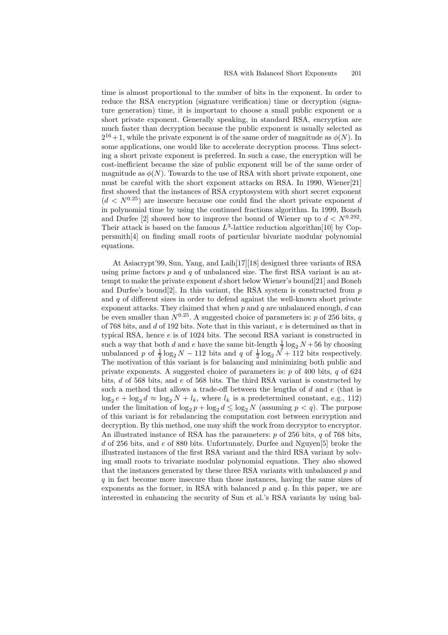time is almost proportional to the number of bits in the exponent. In order to reduce the RSA encryption (signature verification) time or decryption (signature generation) time, it is important to choose a small public exponent or a short private exponent. Generally speaking, in standard RSA, encryption are much faster than decryption because the public exponent is usually selected as  $2^{16}+1$ , while the private exponent is of the same order of magnitude as  $\phi(N)$ . In some applications, one would like to accelerate decryption process. Thus selecting a short private exponent is preferred. In such a case, the encryption will be cost-inefficient because the size of public exponent will be of the same order of magnitude as  $\phi(N)$ . Towards to the use of RSA with short private exponent, one must be careful with the short exponent attacks on RSA. In 1990, Wiener[21] first showed that the instances of RSA cryptosystem with short secret exponent  $(d < N^{0.25})$  are insecure because one could find the short private exponent d in polynomial time by using the continued fractions algorithm. In 1999, Boneh and Durfee [2] showed how to improve the bound of Wiener up to  $d < N^{0.292}$ . Their attack is based on the famous  $L^3$ -lattice reduction algorithm<sup>[10]</sup> by Coppersmith[4] on finding small roots of particular bivariate modular polynomial equations.

At Asiacrypt'99, Sun, Yang, and Laih[17][18] designed three variants of RSA using prime factors  $p$  and  $q$  of unbalanced size. The first RSA variant is an attempt to make the private exponent d short below Wiener's bound[21] and Boneh and Durfee's bound<sup>[2]</sup>. In this variant, the RSA system is constructed from  $p$ and  $q$  of different sizes in order to defend against the well-known short private exponent attacks. They claimed that when  $p$  and  $q$  are unbalanced enough,  $d$  can be even smaller than  $N^{0.25}$ . A suggested choice of parameters is: p of 256 bits, q of 768 bits, and d of 192 bits. Note that in this variant, e is determined as that in typical RSA, hence e is of 1024 bits. The second RSA variant is constructed in such a way that both d and e have the same bit-length  $\frac{1}{2} \log_2 N + 56$  by choosing unbalanced p of  $\frac{1}{2} \log_2 N - 112$  bits and q of  $\frac{1}{2} \log_2 N + 112$  bits respectively. The motivation of this variant is for balancing and minimizing both public and private exponents. A suggested choice of parameters is:  $p$  of 400 bits,  $q$  of 624 bits, d of 568 bits, and e of 568 bits. The third RSA variant is constructed by such a method that allows a trade-off between the lengths of  $d$  and  $e$  (that is  $\log_2 e + \log_2 d \approx \log_2 N + l_k$ , where  $l_k$  is a predetermined constant, e.g., 112) under the limitation of  $\log_2 p + \log_2 d \leq \log_2 N$  (assuming  $p < q$ ). The purpose of this variant is for rebalancing the computation cost between encryption and decryption. By this method, one may shift the work from decryptor to encryptor. An illustrated instance of RSA has the parameters:  $p$  of 256 bits,  $q$  of 768 bits, d of 256 bits, and e of 880 bits. Unfortunately, Durfee and Nguyen[5] broke the illustrated instances of the first RSA variant and the third RSA variant by solving small roots to trivariate modular polynomial equations. They also showed that the instances generated by these three RSA variants with unbalanced  $p$  and q in fact become more insecure than those instances, having the same sizes of exponents as the former, in RSA with balanced  $p$  and  $q$ . In this paper, we are interested in enhancing the security of Sun et al.'s RSA variants by using bal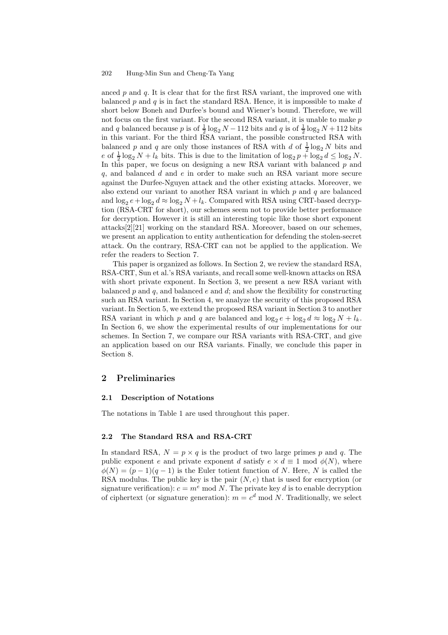anced  $p$  and  $q$ . It is clear that for the first RSA variant, the improved one with balanced p and q is in fact the standard RSA. Hence, it is impossible to make d short below Boneh and Durfee's bound and Wiener's bound. Therefore, we will not focus on the first variant. For the second RSA variant, it is unable to make  $p$ and q balanced because p is of  $\frac{1}{2} \log_2 N - 112$  bits and q is of  $\frac{1}{2} \log_2 N + 112$  bits in this variant. For the third RSA variant, the possible constructed RSA with balanced p and q are only those instances of RSA with d of  $\frac{1}{2} \log_2 N$  bits and  $e$  of  $\frac{1}{2} \log_2 N + l_k$  bits. This is due to the limitation of  $\log_2 p + \log_2 d \le \log_2 N$ . In this paper, we focus on designing a new RSA variant with balanced  $p$  and  $q$ , and balanced  $d$  and  $e$  in order to make such an RSA variant more secure against the Durfee-Nguyen attack and the other existing attacks. Moreover, we also extend our variant to another RSA variant in which  $p$  and  $q$  are balanced and  $\log_2 e + \log_2 d \approx \log_2 N + l_k$ . Compared with RSA using CRT-based decryption (RSA-CRT for short), our schemes seem not to provide better performance for decryption. However it is still an interesting topic like those short exponent attacks[2][21] working on the standard RSA. Moreover, based on our schemes, we present an application to entity authentication for defending the stolen-secret attack. On the contrary, RSA-CRT can not be applied to the application. We refer the readers to Section 7.

This paper is organized as follows. In Section 2, we review the standard RSA, RSA-CRT, Sun et al.'s RSA variants, and recall some well-known attacks on RSA with short private exponent. In Section 3, we present a new RSA variant with balanced  $p$  and  $q$ , and balanced  $e$  and  $d$ ; and show the flexibility for constructing such an RSA variant. In Section 4, we analyze the security of this proposed RSA variant. In Section 5, we extend the proposed RSA variant in Section 3 to another RSA variant in which p and q are balanced and  $\log_2 e + \log_2 d \approx \log_2 N + l_k$ . In Section 6, we show the experimental results of our implementations for our schemes. In Section 7, we compare our RSA variants with RSA-CRT, and give an application based on our RSA variants. Finally, we conclude this paper in Section 8.

### 2 Preliminaries

### 2.1 Description of Notations

The notations in Table 1 are used throughout this paper.

### 2.2 The Standard RSA and RSA-CRT

In standard RSA,  $N = p \times q$  is the product of two large primes p and q. The public exponent e and private exponent d satisfy  $e \times d \equiv 1 \mod \phi(N)$ , where  $\phi(N) = (p-1)(q-1)$  is the Euler totient function of N. Here, N is called the RSA modulus. The public key is the pair  $(N, e)$  that is used for encryption (or signature verification):  $c = m^e \mod N$ . The private key d is to enable decryption of ciphertext (or signature generation):  $m = c^d \mod N$ . Traditionally, we select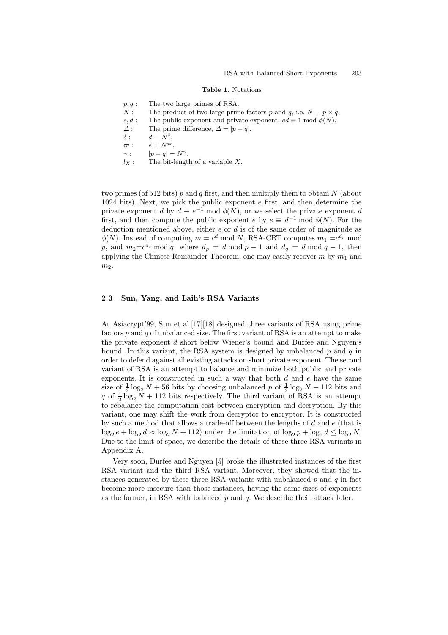#### Table 1. Notations

- $p, q$ : The two large primes of RSA.
- N : The product of two large prime factors p and q, i.e.  $N = p \times q$ .
- e, d: The public exponent and private exponent,  $ed \equiv 1 \mod \phi(N)$ .
- $\Delta$ : The prime difference,  $\Delta = |p q|$ .
- $\delta: d = N^{\delta}.$
- $\varpi: \qquad e = N^{\varpi}.$  $\gamma: |p - q| = N^{\gamma}.$
- $l_X$ : The bit-length of a variable X.

two primes (of 512 bits)  $p$  and  $q$  first, and then multiply them to obtain  $N$  (about 1024 bits). Next, we pick the public exponent e first, and then determine the private exponent d by  $d \equiv e^{-1} \mod \phi(N)$ , or we select the private exponent d first, and then compute the public exponent  $e$  by  $e \equiv d^{-1} \mod \phi(N)$ . For the deduction mentioned above, either  $e$  or  $d$  is of the same order of magnitude as  $\phi(N)$ . Instead of computing  $m = c^d \mod N$ , RSA-CRT computes  $m_1 = c^{d_p} \mod N$ p, and  $m_2 = c^{d_q} \mod q$ , where  $d_p = d \mod p - 1$  and  $d_q = d \mod q - 1$ , then applying the Chinese Remainder Theorem, one may easily recover  $m$  by  $m_1$  and  $m<sub>2</sub>$ .

### 2.3 Sun, Yang, and Laih's RSA Variants

At Asiacrypt'99, Sun et al.[17][18] designed three variants of RSA using prime factors  $p$  and  $q$  of unbalanced size. The first variant of RSA is an attempt to make the private exponent d short below Wiener's bound and Durfee and Nguyen's bound. In this variant, the RSA system is designed by unbalanced  $p$  and  $q$  in order to defend against all existing attacks on short private exponent. The second variant of RSA is an attempt to balance and minimize both public and private exponents. It is constructed in such a way that both  $d$  and  $e$  have the same size of  $\frac{1}{2} \log_2 N + 56$  bits by choosing unbalanced p of  $\frac{1}{2} \log_2 N - 112$  bits and q of  $\frac{1}{2} \log_2 N + 112$  bits respectively. The third variant of RSA is an attempt to rebalance the computation cost between encryption and decryption. By this variant, one may shift the work from decryptor to encryptor. It is constructed by such a method that allows a trade-off between the lengths of  $d$  and  $e$  (that is  $\log_2 e + \log_2 d \approx \log_2 N + 112$  under the limitation of  $\log_2 p + \log_2 d \le \log_2 N$ . Due to the limit of space, we describe the details of these three RSA variants in Appendix A.

Very soon, Durfee and Nguyen [5] broke the illustrated instances of the first RSA variant and the third RSA variant. Moreover, they showed that the instances generated by these three RSA variants with unbalanced  $p$  and  $q$  in fact become more insecure than those instances, having the same sizes of exponents as the former, in RSA with balanced  $p$  and  $q$ . We describe their attack later.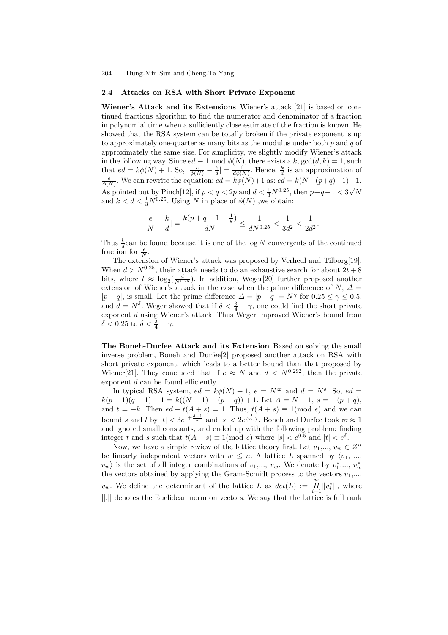#### 2.4 Attacks on RSA with Short Private Exponent

Wiener's Attack and its Extensions Wiener's attack [21] is based on continued fractions algorithm to find the numerator and denominator of a fraction in polynomial time when a sufficiently close estimate of the fraction is known. He showed that the RSA system can be totally broken if the private exponent is up to approximately one-quarter as many bits as the modulus under both  $p$  and  $q$  of approximately the same size. For simplicity, we slightly modify Wiener's attack in the following way. Since  $ed \equiv 1 \mod \phi(N)$ , there exists a k,  $gcd(d, k) = 1$ , such that  $ed = k\phi(N) + 1$ . So,  $\left|\frac{e}{\phi(N)} - \frac{k}{d}\right| = \frac{1}{d\phi(N)}$ . Hence,  $\frac{k}{d}$  is an approximation of  $\frac{e}{\phi(N)}$ . We can rewrite the equation:  $ed = k\phi(N) + 1$  as:  $ed = k(N - (p+q) + 1) + 1$ . As pointed out by Pinch[12], if  $p < q < 2p$  and  $d < \frac{1}{3}N^{0.25}$ , then  $p+q-1 < 3\sqrt{N}$ and  $k < d < \frac{1}{3}N^{0.25}$ . Using N in place of  $\phi(N)$ , we obtain:

$$
|\frac{e}{N}-\frac{k}{d}|=\frac{k(p+q-1-\frac{1}{k})}{dN}\leq \frac{1}{dN^{0.25}}<\frac{1}{3d^2}<\frac{1}{2d^2}.
$$

Thus  $\frac{k}{d}$ can be found because it is one of the log N convergents of the continued fraction for  $\frac{e}{N}$ .

The extension of Wiener's attack was proposed by Verheul and Tilborg[19]. When  $d > N^{0.25}$ , their attack needs to do an exhaustive search for about  $2t + 8$ bits, where  $t \approx \log_2(\frac{d}{N^{0.25}})$ . In addition, Weger[20] further proposed another extension of Wiener's attack in the case when the prime difference of N,  $\Delta =$  $|p - q|$ , is small. Let the prime difference  $\Delta = |p - q| = N^{\gamma}$  for  $0.25 \le \gamma \le 0.5$ , and  $d = N^{\delta}$ . Weger showed that if  $\delta < \frac{3}{4} - \gamma$ , one could find the short private exponent d using Wiener's attack. Thus Weger improved Wiener's bound from  $\delta < 0.25$  to  $\delta < \frac{3}{4} - \gamma$ .

The Boneh-Durfee Attack and its Extension Based on solving the small inverse problem, Boneh and Durfee[2] proposed another attack on RSA with short private exponent, which leads to a better bound than that proposed by Wiener<sup>[21]</sup>. They concluded that if  $e \approx N$  and  $d \langle N^{0.292} \rangle$ , then the private exponent d can be found efficiently.

In typical RSA system,  $ed = k\phi(N) + 1$ ,  $e = N^{\varpi}$  and  $d = N^{\delta}$ . So,  $ed =$  $k(p-1)(q-1)+1=k((N+1)-(p+q))+1.$  Let  $A=N+1, s=-(p+q),$ and  $t = -k$ . Then  $ed + t(A + s) = 1$ . Thus,  $t(A + s) \equiv 1 \pmod{e}$  and we can bound s and t by  $|t| < 3e^{1+\frac{\delta-1}{\varpi}}$  and  $|s| < 2e^{\frac{1}{(2\varpi)}}$ . Boneh and Durfee took  $\varpi \approx 1$ and ignored small constants, and ended up with the following problem: finding integer t and s such that  $t(A + s) \equiv 1 \pmod{e}$  where  $|s| < e^{0.5}$  and  $|t| < e^{0.5}$ .

Now, we have a simple review of the lattice theory first. Let  $v_1, ..., v_w \in Z^n$ be linearly independent vectors with  $w \leq n$ . A lattice L spanned by  $\langle v_1, ..., v_n \rangle$  $\langle v_w \rangle$  is the set of all integer combinations of  $v_1, \ldots, v_w$ . We denote by  $v_1^*, \ldots, v_w^*$ the vectors obtained by applying the Gram-Scmidt process to the vectors  $v_1, \ldots, v_n$  $v_w$ . We define the determinant of the lattice L as  $det(L) := \prod_{i=1}^w ||v_i^*||$ , where ||.|| denotes the Euclidean norm on vectors. We say that the lattice is full rank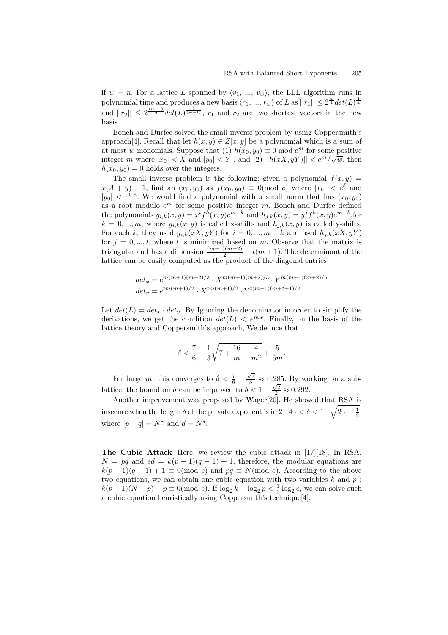if  $w = n$ . For a lattice L spanned by  $\langle v_1, ..., v_w \rangle$ , the LLL algorithm runs in polynomial time and produces a new basis  $\langle r_1, ..., r_w \rangle$  of L as  $||r_1|| \leq 2^{\frac{w}{2}} \det(L)^{\frac{1}{w}}$ and  $||r_2|| \leq 2^{\frac{(w-1)}{2}} \det(L)^{\frac{1}{(w-1)}}, r_1$  and  $r_2$  are two shortest vectors in the new basis.

Boneh and Durfee solved the small inverse problem by using Coppersmith's approach[4]. Recall that let  $h(x, y) \in Z[x, y]$  be a polynomial which is a sum of at most w monomials. Suppose that (1)  $h(x_0, y_0) \equiv 0 \mod e^m$  for some positive integer m where  $|x_0| < X$  and  $|y_0| < Y$ , and (2)  $||h(xX, yY)|| < e^{m}/\sqrt{w}$ , then  $h(x_0, y_0) = 0$  holds over the integers.

The small inverse problem is the following: given a polynomial  $f(x, y) =$  $x(A + y) - 1$ , find an  $(x_0, y_0)$  as  $f(x_0, y_0) \equiv 0 \pmod{e}$  where  $|x_0| < e^{\delta}$  and  $|y_0| < e^{0.5}$ . We would find a polynomial with a small norm that has  $(x_0, y_0)$ as a root modulo  $e^m$  for some positive integer m. Boneh and Durfee defined the polynomials  $g_{i,k}(x,y) = x^{i} f^{k}(x,y) e^{m-k}$  and  $h_{j,k}(x,y) = y^{j} f^{k}(x,y) e^{m-k}$ , for  $k = 0, ..., m$ , where  $g_{i,k}(x, y)$  is called x-shifts and  $h_{j,k}(x, y)$  is called y-shifts. For each k, they used  $g_{i,k}(xX, yY)$  for  $i = 0, ..., m - k$  and used  $h_{j,k}(xX, yY)$ for  $j = 0, \ldots, t$ , where t is minimized based on m. Observe that the matrix is triangular and has a dimension  $\frac{(m+1)(m+2)}{2} + t(m+1)$ . The determinant of the lattice can be easily computed as the product of the diagonal entries

$$
det_x = e^{m(m+1)(m+2)/3} \cdot X^{m(m+1)(m+2)/3} \cdot Y^{m(m+1)(m+2)/6}
$$
  

$$
det_y = e^{tm(m+1)/2} \cdot X^{tm(m+1)/2} \cdot Y^{t(m+1)(m+t+1)/2}.
$$

Let  $det(L) = det_x \cdot det_y$ . By Ignoring the denominator in order to simplify the derivations, we get the condition  $det(L) < e^{mw}$ . Finally, on the basis of the lattice theory and Coppersmith's approach, We deduce that

$$
\delta < \frac{7}{6} - \frac{1}{3} \sqrt{7 + \frac{16}{m} + \frac{4}{m^2}} + \frac{5}{6m}.
$$

For large m, this converges to  $\delta < \frac{7}{6} - \frac{\sqrt{7}}{3} \approx 0.285$ . By working on a sublattice, the bound on  $\delta$  can be improved to  $\delta < 1 - \frac{\sqrt{2}}{2} \approx 0.292$ .

Another improvement was proposed by Wager[20]. He showed that RSA is insecure when the length  $\delta$  of the private exponent is in  $2-4\gamma < \delta < 1-\sqrt{2\gamma-\frac{1}{2}}$ , where  $|p - q| = N^{\gamma}$  and  $d = N^{\delta}$ .

The Cubic Attack Here, we review the cubic attack in [17][18]. In RSA,  $N = pq$  and  $ed = k(p - 1)(q - 1) + 1$ , therefore, the modular equations are  $k(p-1)(q-1)+1 \equiv 0 \pmod{e}$  and  $pq \equiv N \pmod{e}$ . According to the above two equations, we can obtain one cubic equation with two variables  $k$  and  $p$ :  $k(p-1)(N-p) + p \equiv 0 \pmod{e}$ . If  $\log_2 k + \log_2 p < \frac{1}{3} \log_2 e$ , we can solve such a cubic equation heuristically using Coppersmith's technique[4].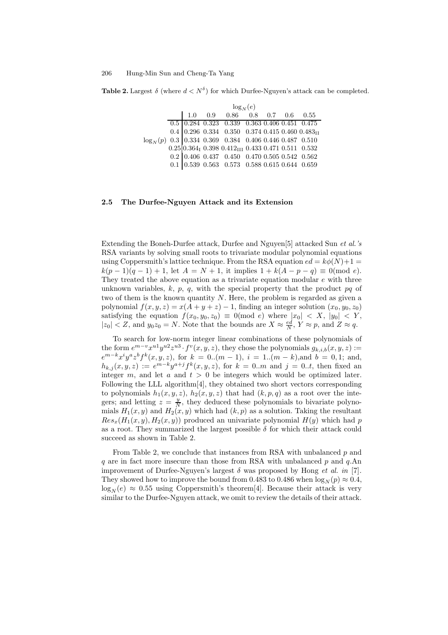**Table 2.** Largest  $\delta$  (where  $d < N^{\delta}$ ) for which Durfee-Nguyen's attack can be completed.

| $\log_{N}(e)$ |  |  |  |  |  |                                                                                                                                                                                                                                                                                                                                                                                                                                                                                                                                                                      |
|---------------|--|--|--|--|--|----------------------------------------------------------------------------------------------------------------------------------------------------------------------------------------------------------------------------------------------------------------------------------------------------------------------------------------------------------------------------------------------------------------------------------------------------------------------------------------------------------------------------------------------------------------------|
|               |  |  |  |  |  |                                                                                                                                                                                                                                                                                                                                                                                                                                                                                                                                                                      |
|               |  |  |  |  |  |                                                                                                                                                                                                                                                                                                                                                                                                                                                                                                                                                                      |
|               |  |  |  |  |  |                                                                                                                                                                                                                                                                                                                                                                                                                                                                                                                                                                      |
|               |  |  |  |  |  |                                                                                                                                                                                                                                                                                                                                                                                                                                                                                                                                                                      |
|               |  |  |  |  |  |                                                                                                                                                                                                                                                                                                                                                                                                                                                                                                                                                                      |
|               |  |  |  |  |  |                                                                                                                                                                                                                                                                                                                                                                                                                                                                                                                                                                      |
|               |  |  |  |  |  |                                                                                                                                                                                                                                                                                                                                                                                                                                                                                                                                                                      |
|               |  |  |  |  |  | $1.0 \qquad 0.9 \qquad 0.86 \qquad 0.8 \qquad 0.7 \qquad 0.6 \qquad 0.55$<br>$\begin{array}{rrrr} 0.5 & 0.284 & 0.323 & 0.339 & 0.363 & 0.406 & 0.451 & 0.475 \\ 0.4 & 0.296 & 0.334 & 0.350 & 0.374 & 0.415 & 0.460 & 0.483_{\text{II}} \end{array}$<br>$\log_N(p)$ 0.3 0.334 0.369 0.384 0.406 0.446 0.487 0.510<br>0.25 0.364 <sub>1</sub> 0.398 0.412 <sub>III</sub> 0.433 0.471 0.511 0.532<br>$\begin{array}{c cccccc} 0.2 & 0.406 & 0.437 & 0.450 & 0.470 & 0.505 & 0.542 & 0.562 \\ 0.1 & 0.539 & 0.563 & 0.573 & 0.588 & 0.615 & 0.644 & 0.659 \end{array}$ |

### 2.5 The Durfee-Nguyen Attack and its Extension

Extending the Boneh-Durfee attack, Durfee and Nguyen[5] attacked Sun et al.'s RSA variants by solving small roots to trivariate modular polynomial equations using Coppersmith's lattice technique. From the RSA equation  $ed = k\phi(N)+1 =$  $k(p-1)(q-1) + 1$ , let  $A = N + 1$ , it implies  $1 + k(A - p - q) \equiv 0 \pmod{e}$ . They treated the above equation as a trivariate equation modular  $e$  with three unknown variables,  $k, p, q$ , with the special property that the product pq of two of them is the known quantity  $N$ . Here, the problem is regarded as given a polynomial  $f(x, y, z) = x(A + y + z) - 1$ , finding an integer solution  $(x_0, y_0, z_0)$ satisfying the equation  $f(x_0, y_0, z_0) \equiv 0 \pmod{e}$  where  $|x_0| < X$ ,  $|y_0| < Y$ ,  $|z_0| < Z$ , and  $y_0z_0 = N$ . Note that the bounds are  $X \approx \frac{ed}{N}$ ,  $Y \approx p$ , and  $Z \approx q$ .

To search for low-norm integer linear combinations of these polynomials of the form  $e^{m-v}x^{u_1}y^{u_2}z^{u_3}\cdot f^v(x,y,z)$ , they chose the polynomials  $g_{k,i,b}(x,y,z) :=$  $e^{m-k}x^iy^az^bf^k(x,y,z)$ , for  $k = 0..(m-1), i = 1..(m-k)$ , and  $b = 0,1$ ; and,  $h_{k,j}(x,y,z) := e^{m-k}y^{a+j}f^{k}(x,y,z)$ , for  $k = 0..m$  and  $j = 0..t$ , then fixed an integer m, and let  $a$  and  $t > 0$  be integers which would be optimized later. Following the LLL algorithm[4], they obtained two short vectors corresponding to polynomials  $h_1(x, y, z)$ ,  $h_2(x, y, z)$  that had  $(k, p, q)$  as a root over the integers; and letting  $z = \frac{y}{N}$ , they deduced these polynomials to bivariate polynomials  $H_1(x, y)$  and  $H_2(x, y)$  which had  $(k, p)$  as a solution. Taking the resultant  $Res_x(H_1(x, y), H_2(x, y))$  produced an univariate polynomial  $H(y)$  which had p as a root. They summarized the largest possible  $\delta$  for which their attack could succeed as shown in Table 2.

From Table 2, we conclude that instances from RSA with unbalanced p and  $q$  are in fact more insecure than those from RSA with unbalanced  $p$  and  $q$ .An improvement of Durfee-Nguyen's largest  $\delta$  was proposed by Hong *et al. in* [7]. They showed how to improve the bound from 0.483 to 0.486 when  $\log_N (p) \approx 0.4$ ,  $\log_N(e) \approx 0.55$  using Coppersmith's theorem [4]. Because their attack is very similar to the Durfee-Nguyen attack, we omit to review the details of their attack.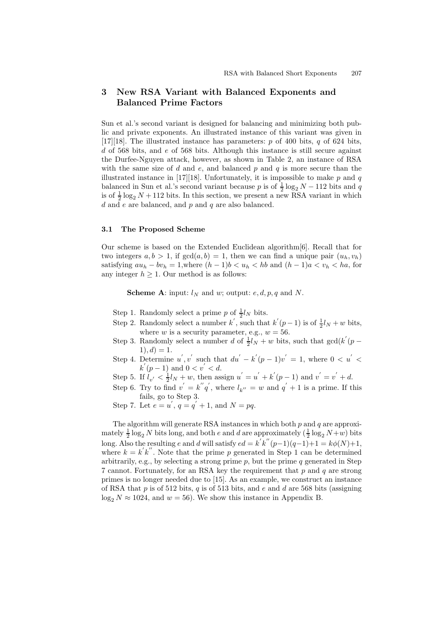## 3 New RSA Variant with Balanced Exponents and Balanced Prime Factors

Sun et al.'s second variant is designed for balancing and minimizing both public and private exponents. An illustrated instance of this variant was given in [17][18]. The illustrated instance has parameters:  $p$  of 400 bits,  $q$  of 624 bits,  $d$  of 568 bits, and  $e$  of 568 bits. Although this instance is still secure against the Durfee-Nguyen attack, however, as shown in Table 2, an instance of RSA with the same size of  $d$  and  $e$ , and balanced  $p$  and  $q$  is more secure than the illustrated instance in [17][18]. Unfortunately, it is impossible to make  $p$  and  $q$ balanced in Sun et al.'s second variant because p is of  $\frac{1}{2} \log_2 N - 112$  bits and q is of  $\frac{1}{2} \log_2 N + 112$  bits. In this section, we present a new RSA variant in which d and e are balanced, and  $p$  and  $q$  are also balanced.

### 3.1 The Proposed Scheme

Our scheme is based on the Extended Euclidean algorithm[6]. Recall that for two integers  $a, b > 1$ , if  $gcd(a, b) = 1$ , then we can find a unique pair  $(u_h, v_h)$ satisfying  $au_h - bv_h = 1$ , where  $(h - 1)b < u_h < hb$  and  $(h - 1)a < v_h < ha$ , for any integer  $h \geq 1$ . Our method is as follows:

**Scheme A:** input:  $l_N$  and w; output: e, d, p, q and N.

- Step 1. Randomly select a prime p of  $\frac{1}{2}l_N$  bits.
- Step 2. Randomly select a number  $k'$ , such that  $k'(p-1)$  is of  $\frac{1}{2}l_N + w$  bits, where  $w$  is a security parameter, e.g.,  $w = 56$ .
- Step 3. Randomly select a number d of  $\frac{1}{2}V_N + w$  bits, such that  $gcd(k'(p 1), d) = 1.$
- Step 4. Determine  $u', v'$  such that  $du' k'(p-1)v' = 1$ , where  $0 < u' <$  $k'(p-1)$  and  $0 < v' < d$ .  $(p-1)$  and  $0 < v$
- Step 5. If  $l'_{v'} < \frac{1}{2}l_N + w$ , then assign  $u' = u' + k'(p-1)$  and  $v' = v' + d$ .
- Step 6. Try to find  $v' = k''q'$ , where  $l_{k''} = w$  and  $q' + 1$  is a prime. If this fails, go to Step 3.
- Step 7. Let  $e = u'$ ,  $q = q' + 1$ , and  $N = pq$ .

The algorithm will generate RSA instances in which both  $p$  and  $q$  are approximately  $\frac{1}{2} \log_2 N$  bits long, and both e and d are approximately  $(\frac{1}{2} \log_2 N + w)$  bits long. Also the resulting e and d will satisfy  $ed = k'k''(p-1)(q-1)+1 = k\phi(N)+1,$ where  $k = k'k''$ . Note that the prime p generated in Step 1 can be determined arbitrarily, e.g., by selecting a strong prime  $p$ , but the prime  $q$  generated in Step 7 cannot. Fortunately, for an RSA key the requirement that  $p$  and  $q$  are strong primes is no longer needed due to [15]. As an example, we construct an instance of RSA that p is of 512 bits, q is of 513 bits, and e and d are 568 bits (assigning  $\log_2 N \approx 1024$ , and  $w = 56$ ). We show this instance in Appendix B.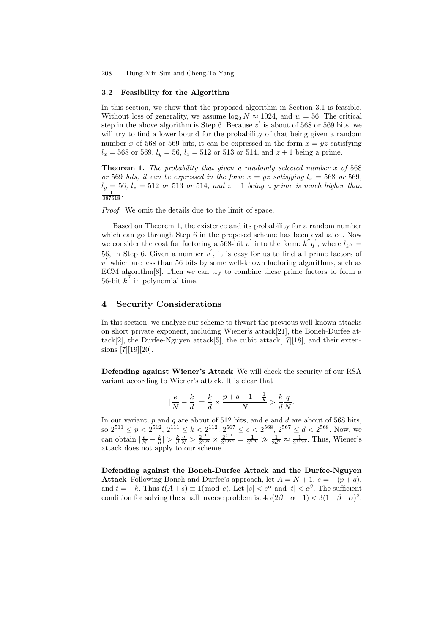#### 3.2 Feasibility for the Algorithm

In this section, we show that the proposed algorithm in Section 3.1 is feasible. Without loss of generality, we assume  $\log_2 N \approx 1024$ , and  $w = 56$ . The critical step in the above algorithm is Step 6. Because  $v'$  is about of 568 or 569 bits, we will try to find a lower bound for the probability of that being given a random number x of 568 or 569 bits, it can be expressed in the form  $x = yz$  satisfying  $l_x = 568$  or 569,  $l_y = 56$ ,  $l_z = 512$  or 513 or 514, and  $z + 1$  being a prime.

**Theorem 1.** The probability that given a randomly selected number  $x$  of 568 or 569 bits, it can be expressed in the form  $x = yz$  satisfying  $l_x = 568$  or 569,  $l_y = 56$ ,  $l_z = 512$  or 513 or 514, and  $z + 1$  being a prime is much higher than  $\frac{1}{387618}$ .

Proof. We omit the details due to the limit of space.

Based on Theorem 1, the existence and its probability for a random number which can go through Step 6 in the proposed scheme has been evaluated. Now we consider the cost for factoring a 568-bit v' into the form:  $k''q'$ , where  $l_{k''}$  = 56, in Step 6. Given a number  $v'$ , it is easy for us to find all prime factors of  $v'$  which are less than 56 bits by some well-known factoring algorithms, such as ECM algorithm[8]. Then we can try to combine these prime factors to form a 56-bit  $k^{n}$  in polynomial time.

### 4 Security Considerations

In this section, we analyze our scheme to thwart the previous well-known attacks on short private exponent, including Wiener's attack[21], the Boneh-Durfee attack[2], the Durfee-Nguyen attack[5], the cubic attack[17][18], and their extensions [7][19][20].

Defending against Wiener's Attack We will check the security of our RSA variant according to Wiener's attack. It is clear that

$$
|\frac{e}{N}-\frac{k}{d}|=\frac{k}{d}\times\frac{p+q-1-\frac{1}{k}}{N}>\frac{k}{d}\frac{q}{N}.
$$

In our variant,  $p$  and  $q$  are about of 512 bits, and  $e$  and  $d$  are about of 568 bits, so  $2^{511} \le p < 2^{512}$ ,  $2^{111} \le k < 2^{112}$ ,  $2^{567} \le e < 2^{568}$ ,  $2^{567} \le d < 2^{568}$ . Now, we can obtain  $\left|\frac{e}{N} - \frac{k}{d}\right| > \frac{k}{d} \frac{q}{N} > \frac{2^{111}}{2^{568}} \times \frac{2^{511}}{2^{1024}} = \frac{1}{2^{970}} \gg \frac{1}{2d^2} \approx \frac{1}{2^{1136}}$ . Thus, Wiener's attack does not apply to our scheme.

Defending against the Boneh-Durfee Attack and the Durfee-Nguyen Attack Following Boneh and Durfee's approach, let  $A = N + 1$ ,  $s = -(p + q)$ , and  $t = -k$ . Thus  $t(A + s) \equiv 1 \pmod{e}$ . Let  $|s| < e^{\alpha}$  and  $|t| < e^{\beta}$ . The sufficient condition for solving the small inverse problem is:  $4\alpha(2\beta + \alpha - 1) < 3(1 - \beta - \alpha)^2$ .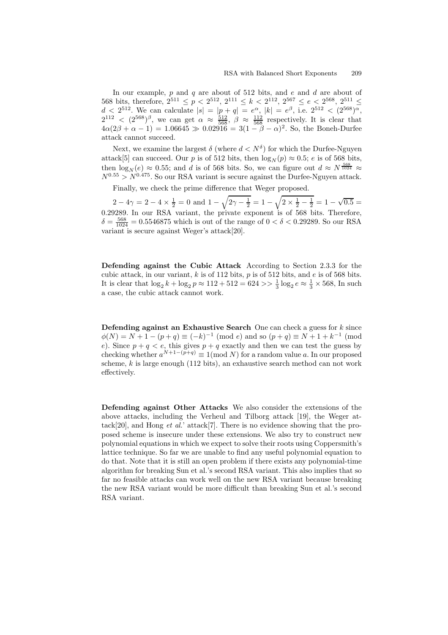In our example,  $p$  and  $q$  are about of 512 bits, and  $e$  and  $d$  are about of 568 bits, therefore,  $2^{511} \le p < 2^{512}$ ,  $2^{111} \le k < 2^{112}$ ,  $2^{567} \le e < 2^{568}$ ,  $2^{511} \le$  $d < 2^{512}$ . We can calculate  $|s| = |p + q| = e^{\alpha}$ ,  $|k| = e^{\beta}$ , i.e.  $2^{512} < (2^{568})^{\alpha}$ ,  $2^{112}$  <  $(2^{568})^{\beta}$ , we can get  $\alpha \approx \frac{512}{568}$ ,  $\beta \approx \frac{112}{568}$  respectively. It is clear that  $4\alpha(2\beta + \alpha - 1) = 1.06645 \gg 0.02916 = 3(1 - \beta - \alpha)^2$ . So, the Boneh-Durfee attack cannot succeed.

Next, we examine the largest  $\delta$  (where  $d < N^{\delta}$ ) for which the Durfee-Nguyen attack[5] can succeed. Our p is of 512 bits, then  $\log_N(p) \approx 0.5$ ; e is of 568 bits, then  $\log_N(e) \approx 0.55$ ; and d is of 568 bits. So, we can figure out  $d \approx N^{\frac{568}{1024}} \approx$  $N^{0.55} > N^{0.475}$ . So our RSA variant is secure against the Durfee-Nguyen attack.

Finally, we check the prime difference that Weger proposed.

 $2-4\gamma = 2-4 \times \frac{1}{2} = 0$  and  $1 - \sqrt{2\gamma - \frac{1}{2}} = 1 - \sqrt{2 \times \frac{1}{2} - \frac{1}{2}} = 1 - \sqrt{0.5}$ 0.29289. In our RSA variant, the private exponent is of 568 bits. Therefore,  $\delta = \frac{568}{1024} = 0.5546875$  which is out of the range of  $0 < \delta < 0.29289$ . So our RSA variant is secure against Weger's attack[20].

Defending against the Cubic Attack According to Section 2.3.3 for the cubic attack, in our variant, k is of 112 bits, p is of 512 bits, and e is of 568 bits. It is clear that  $\log_2 k + \log_2 p \approx 112 + 512 = 624 \gg \frac{1}{3} \log_2 e \approx \frac{1}{3} \times 568$ , In such a case, the cubic attack cannot work.

Defending against an Exhaustive Search One can check a guess for  $k$  since  $\phi(N) = N + 1 - (p + q) \equiv (-k)^{-1} \pmod{e}$  and so  $(p + q) \equiv N + 1 + k^{-1} \pmod{e}$ e). Since  $p + q < e$ , this gives  $p + q$  exactly and then we can test the guess by checking whether  $a^{N+1-(p+q)} \equiv 1 \pmod{N}$  for a random value a. In our proposed scheme,  $k$  is large enough (112 bits), an exhaustive search method can not work effectively.

Defending against Other Attacks We also consider the extensions of the above attacks, including the Verheul and Tilborg attack [19], the Weger attack[20], and Hong *et al.*' attack[7]. There is no evidence showing that the proposed scheme is insecure under these extensions. We also try to construct new polynomial equations in which we expect to solve their roots using Coppersmith's lattice technique. So far we are unable to find any useful polynomial equation to do that. Note that it is still an open problem if there exists any polynomial-time algorithm for breaking Sun et al.'s second RSA variant. This also implies that so far no feasible attacks can work well on the new RSA variant because breaking the new RSA variant would be more difficult than breaking Sun et al.'s second RSA variant.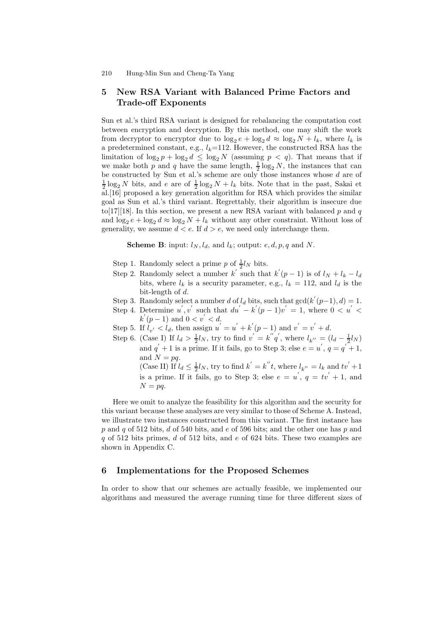## 5 New RSA Variant with Balanced Prime Factors and Trade-off Exponents

Sun et al.'s third RSA variant is designed for rebalancing the computation cost between encryption and decryption. By this method, one may shift the work from decryptor to encryptor due to  $\log_2 e + \log_2 d \approx \log_2 N + l_k$ , where  $l_k$  is a predetermined constant, e.g.,  $l_k=112$ . However, the constructed RSA has the limitation of  $\log_2 p + \log_2 d \leq \log_2 N$  (assuming  $p < q$ ). That means that if we make both  $p$  and  $q$  have the same length,  $\frac{1}{2} \log_2 N$ , the instances that can be constructed by Sun et al.'s scheme are only those instances whose d are of  $\frac{1}{2} \log_2 N$  bits, and e are of  $\frac{1}{2} \log_2 N + l_k$  bits. Note that in the past, Sakai et al.[16] proposed a key generation algorithm for RSA which provides the similar goal as Sun et al.'s third variant. Regrettably, their algorithm is insecure due to[17][18]. In this section, we present a new RSA variant with balanced  $p$  and  $q$ and  $\log_2 e + \log_2 d \approx \log_2 N + l_k$  without any other constraint. Without loss of generality, we assume  $d < e$ . If  $d > e$ , we need only interchange them.

**Scheme B:** input:  $l_N, l_d$ , and  $l_k$ ; output: e, d, p, q and N.

- Step 1. Randomly select a prime p of  $\frac{1}{2}l_N$  bits.
- Step 2. Randomly select a number k' such that  $k'(p-1)$  is of  $l_N + l_k l_d$ bits, where  $l_k$  is a security parameter, e.g.,  $l_k = 112$ , and  $l_d$  is the bit-length of d.
- Step 3. Randomly select a number d of  $l_d$  bits, such that  $gcd(k'(p-1), d) = 1$ .
- Step 4. Determine u', v' such that  $du' k'(p-1)v' = 1$ , where  $0 < u' <$  $k'(p-1)$  and  $0 < v' < d$ .
- Step 5. If  $l'_{v'} < l_d$ , then assign  $u' = u' + k'(p-1)$  and  $v' = v' + d$ .
- Step 6. (Case I) If  $l_d > \frac{1}{2}l_N$ , try to find  $v' = k''q'$ , where  $l_{k''} = (l_d \frac{1}{2}l_N)$ 
	- and  $q + 1$  is a prime. If it fails, go to Step 3; else  $e = u$ ,  $q = q + 1$ , and  $N = pq$ . (Case II) If  $l_d \leq \frac{1}{2}l_N$ , try to find  $k' = k''t$ , where  $l_{k''} = l_k$  and  $tv' + 1$

is a prime. If it fails, go to Step 3; else  $e = u', q = tv' + 1$ , and  $N = pq$ .

Here we omit to analyze the feasibility for this algorithm and the security for this variant because these analyses are very similar to those of Scheme A. Instead, we illustrate two instances constructed from this variant. The first instance has p and q of 512 bits, d of 540 bits, and e of 596 bits; and the other one has p and  $q$  of 512 bits primes, d of 512 bits, and e of 624 bits. These two examples are shown in Appendix C.

### 6 Implementations for the Proposed Schemes

In order to show that our schemes are actually feasible, we implemented our algorithms and measured the average running time for three different sizes of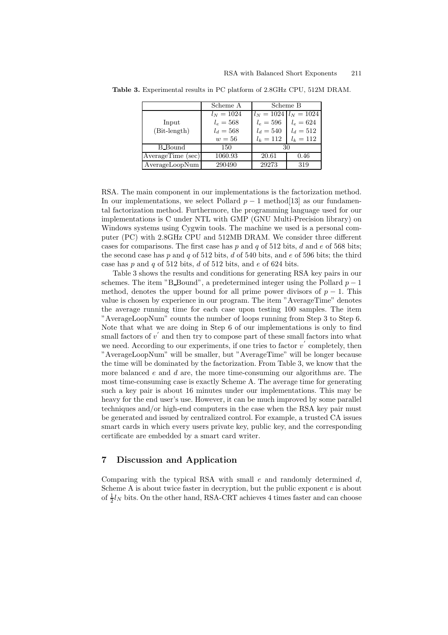|                         | Scheme B<br>Scheme A                       |                                                         |                            |  |
|-------------------------|--------------------------------------------|---------------------------------------------------------|----------------------------|--|
| Input<br>$(Bit-length)$ | $l_N = 1024$<br>$l_e = 568$<br>$l_d = 568$ | $l_N = 1024$ $l_N = 1024$<br>$l_e = 596$<br>$l_d = 540$ | $l_e = 624$<br>$l_d = 512$ |  |
|                         | $w=56$                                     | $l_k = 112$                                             | $l_k = 112$                |  |
| B_Bound                 | 150                                        | 30                                                      |                            |  |
| AverageTime (sec)       | 1060.93                                    | 20.61                                                   | 0.46                       |  |
| AverageLoopNum          | 290490                                     | 29273                                                   | 319                        |  |

Table 3. Experimental results in PC platform of 2.8GHz CPU, 512M DRAM.

RSA. The main component in our implementations is the factorization method. In our implementations, we select Pollard  $p-1$  method[13] as our fundamental factorization method. Furthermore, the programming language used for our implementations is C under NTL with GMP (GNU Multi-Precision library) on Windows systems using Cygwin tools. The machine we used is a personal computer (PC) with 2.8GHz CPU and 512MB DRAM. We consider three different cases for comparisons. The first case has  $p$  and  $q$  of 512 bits,  $d$  and  $e$  of 568 bits; the second case has p and q of 512 bits, d of 540 bits, and e of 596 bits; the third case has p and q of 512 bits, d of 512 bits, and  $e$  of 624 bits.

Table 3 shows the results and conditions for generating RSA key pairs in our schemes. The item "B\_Bound", a predetermined integer using the Pollard  $p-1$ method, denotes the upper bound for all prime power divisors of  $p - 1$ . This value is chosen by experience in our program. The item "AverageTime" denotes the average running time for each case upon testing 100 samples. The item "AverageLoopNum" counts the number of loops running from Step 3 to Step 6. Note that what we are doing in Step 6 of our implementations is only to find small factors of  $v^{'}$  and then try to compose part of these small factors into what we need. According to our experiments, if one tries to factor  $v^{'}$  completely, then "AverageLoopNum" will be smaller, but "AverageTime" will be longer because the time will be dominated by the factorization. From Table 3, we know that the more balanced  $e$  and  $d$  are, the more time-consuming our algorithms are. The most time-consuming case is exactly Scheme A. The average time for generating such a key pair is about 16 minutes under our implementations. This may be heavy for the end user's use. However, it can be much improved by some parallel techniques and/or high-end computers in the case when the RSA key pair must be generated and issued by centralized control. For example, a trusted CA issues smart cards in which every users private key, public key, and the corresponding certificate are embedded by a smart card writer.

### 7 Discussion and Application

Comparing with the typical RSA with small  $e$  and randomly determined  $d$ , Scheme A is about twice faster in decryption, but the public exponent e is about of  $\frac{1}{2}l_N$  bits. On the other hand, RSA-CRT achieves 4 times faster and can choose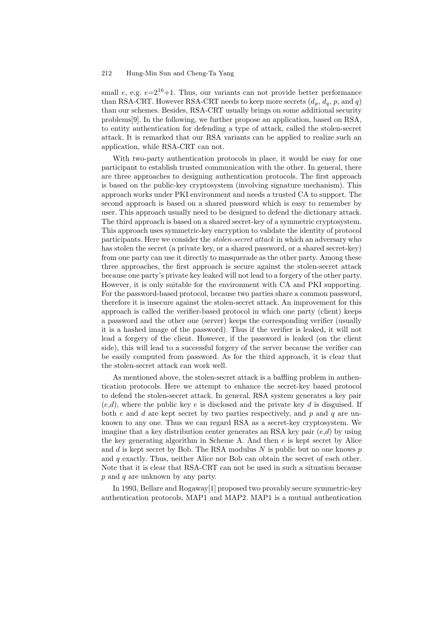small e, e.g.  $e=2^{16}+1$ . Thus, our variants can not provide better performance than RSA-CRT. However RSA-CRT needs to keep more secrets  $(d_p, d_q, p, \text{ and } q)$ than our schemes. Besides, RSA-CRT usually brings on some additional security problems[9]. In the following, we further propose an application, based on RSA, to entity authentication for defending a type of attack, called the stolen-secret attack. It is remarked that our RSA variants can be applied to realize such an application, while RSA-CRT can not.

With two-party authentication protocols in place, it would be easy for one participant to establish trusted communication with the other. In general, there are three approaches to designing authentication protocols. The first approach is based on the public-key cryptosystem (involving signature mechanism). This approach works under PKI environment and needs a trusted CA to support. The second approach is based on a shared password which is easy to remember by user. This approach usually need to be designed to defend the dictionary attack. The third approach is based on a shared secret-key of a symmetric cryptosystem. This approach uses symmetric-key encryption to validate the identity of protocol participants. Here we consider the stolen-secret attack in which an adversary who has stolen the secret (a private key, or a shared password, or a shared secret-key) from one party can use it directly to masquerade as the other party. Among these three approaches, the first approach is secure against the stolen-secret attack because one party's private key leaked will not lead to a forgery of the other party. However, it is only suitable for the environment with CA and PKI supporting. For the password-based protocol, because two parties share a common password, therefore it is insecure against the stolen-secret attack. An improvement for this approach is called the verifier-based protocol in which one party (client) keeps a password and the other one (server) keeps the corresponding verifier (usually it is a hashed image of the password). Thus if the verifier is leaked, it will not lead a forgery of the client. However, if the password is leaked (on the client side), this will lead to a successful forgery of the server because the verifier can be easily computed from password. As for the third approach, it is clear that the stolen-secret attack can work well.

As mentioned above, the stolen-secret attack is a baffling problem in authentication protocols. Here we attempt to enhance the secret-key based protocol to defend the stolen-secret attack. In general, RSA system generates a key pair  $(e,d)$ , where the public key e is disclosed and the private key d is disguised. If both e and d are kept secret by two parties respectively, and  $p$  and  $q$  are unknown to any one. Thus we can regard RSA as a secret-key cryptosystem. We imagine that a key distribution center generates an RSA key pair  $(e,d)$  by using the key generating algorithm in Scheme A. And then  $e$  is kept secret by Alice and  $d$  is kept secret by Bob. The RSA modulus  $N$  is public but no one knows  $p$ and q exactly. Thus, neither Alice nor Bob can obtain the secret of each other. Note that it is clear that RSA-CRT can not be used in such a situation because p and q are unknown by any party.

In 1993, Bellare and Rogaway[1] proposed two provably secure symmetric-key authentication protocols, MAP1 and MAP2. MAP1 is a mutual authentication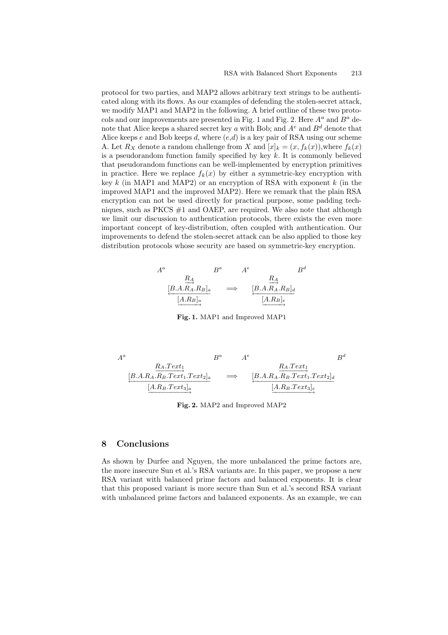protocol for two parties, and MAP2 allows arbitrary text strings to be authenticated along with its flows. As our examples of defending the stolen-secret attack, we modify MAP1 and MAP2 in the following. A brief outline of these two protocols and our improvements are presented in Fig. 1 and Fig. 2. Here  $A^a$  and  $B^a$  denote that Alice keeps a shared secret key a with Bob; and  $A^e$  and  $B^d$  denote that Alice keeps e and Bob keeps d, where  $(e,d)$  is a key pair of RSA using our scheme A. Let  $R_X$  denote a random challenge from X and  $[x]_k = (x, f_k(x))$ , where  $f_k(x)$ is a pseudorandom function family specified by key  $k$ . It is commonly believed that pseudorandom functions can be well-implemented by encryption primitives in practice. Here we replace  $f_k(x)$  by either a symmetric-key encryption with key  $k$  (in MAP1 and MAP2) or an encryption of RSA with exponent  $k$  (in the improved MAP1 and the improved MAP2). Here we remark that the plain RSA encryption can not be used directly for practical purpose, some padding techniques, such as PKCS  $#1$  and OAEP, are required. We also note that although we limit our discussion to authentication protocols, there exists the even more important concept of key-distribution, often coupled with authentication. Our improvements to defend the stolen-secret attack can be also applied to those key distribution protocols whose security are based on symmetric-key encryption.

$$
A^{a} \xrightarrow{BA} B^{a} \xrightarrow{A^{e}} B^{d}
$$
\n
$$
[B.A.R_{A}.R_{B}]_{a} \xrightarrow{A^{e}} [B.A.R_{A}.R_{B}]_{d}
$$
\n
$$
\xrightarrow{[A.R_{B}]_{a}} \xrightarrow{[A.R_{B}]_{e}}
$$
\n
$$
B^{d}
$$

Fig. 1. MAP1 and Improved MAP1

$$
A^{a} \qquad B^{d} \qquad B^{d}
$$
\n
$$
\underbrace{R_{A}.Text_{1}}_{\left[ B.A.R_{A}.R_{B}.Text_{1}.Text_{2}\right]_{a}} \qquad \Longrightarrow \qquad \underbrace{R_{A}.Text_{1}}_{\left[ A.R_{B}.Text_{1}.Text_{2}\right]_{d}} \qquad \underbrace{R_{A}.Text_{1}.Text_{2}}_{\left[ A.R_{B}.Text_{3}\right]_{e}}
$$
\n
$$
B^{d}
$$

Fig. 2. MAP2 and Improved MAP2

## 8 Conclusions

As shown by Durfee and Nguyen, the more unbalanced the prime factors are, the more insecure Sun et al.'s RSA variants are. In this paper, we propose a new RSA variant with balanced prime factors and balanced exponents. It is clear that this proposed variant is more secure than Sun et al.'s second RSA variant with unbalanced prime factors and balanced exponents. As an example, we can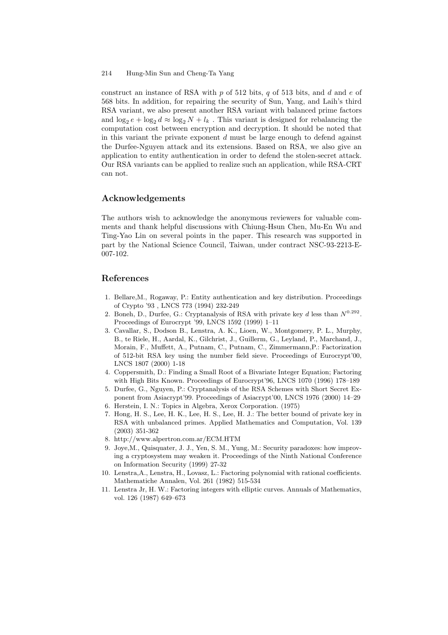construct an instance of RSA with  $p$  of 512 bits,  $q$  of 513 bits, and  $d$  and  $e$  of 568 bits. In addition, for repairing the security of Sun, Yang, and Laih's third RSA variant, we also present another RSA variant with balanced prime factors and  $\log_2 e + \log_2 d \approx \log_2 N + l_k$ . This variant is designed for rebalancing the computation cost between encryption and decryption. It should be noted that in this variant the private exponent  $d$  must be large enough to defend against the Durfee-Nguyen attack and its extensions. Based on RSA, we also give an application to entity authentication in order to defend the stolen-secret attack. Our RSA variants can be applied to realize such an application, while RSA-CRT can not.

### Acknowledgements

The authors wish to acknowledge the anonymous reviewers for valuable comments and thank helpful discussions with Chiung-Hsun Chen, Mu-En Wu and Ting-Yao Lin on several points in the paper. This research was supported in part by the National Science Council, Taiwan, under contract NSC-93-2213-E-007-102.

## References

- 1. Bellare,M., Rogaway, P.: Entity authentication and key distribution. Proceedings of Crypto '93 , LNCS 773 (1994) 232-249
- 2. Boneh, D., Durfee, G.: Cryptanalysis of RSA with private key  $d$  less than  $N^{0.292}$ . Proceedings of Eurocrypt '99, LNCS 1592 (1999) 1–11
- 3. Cavallar, S., Dodson B., Lenstra, A. K., Lioen, W., Montgomery, P. L., Murphy, B., te Riele, H., Aardal, K., Gilchrist, J., Guillerm, G., Leyland, P., Marchand, J., Morain, F., Muffett, A., Putnam, C., Putnam, C., Zimmermann,P.: Factorization of 512-bit RSA key using the number field sieve. Proceedings of Eurocrypt'00, LNCS 1807 (2000) 1-18
- 4. Coppersmith, D.: Finding a Small Root of a Bivariate Integer Equation; Factoring with High Bits Known. Proceedings of Eurocrypt'96, LNCS 1070 (1996) 178–189
- 5. Durfee, G., Nguyen, P.: Cryptanalysis of the RSA Schemes with Short Secret Exponent from Asiacrypt'99. Proceedings of Asiacrypt'00, LNCS 1976 (2000) 14–29
- 6. Herstein, I. N.: Topics in Algebra, Xerox Corporation. (1975)
- 7. Hong, H. S., Lee, H. K., Lee, H. S., Lee, H. J.: The better bound of private key in RSA with unbalanced primes. Applied Mathematics and Computation, Vol. 139 (2003) 351-362
- 8. http://www.alpertron.com.ar/ECM.HTM
- 9. Joye,M., Quisquater, J. J., Yen, S. M., Yung, M.: Security paradoxes: how improving a cryptosystem may weaken it. Proceedings of the Ninth National Conference on Information Security (1999) 27-32
- 10. Lenstra,A., Lenstra, H., Lovasz, L.: Factoring polynomial with rational coefficients. Mathematiche Annalen, Vol. 261 (1982) 515-534
- 11. Lenstra Jr, H. W.: Factoring integers with elliptic curves. Annuals of Mathematics, vol. 126 (1987) 649–673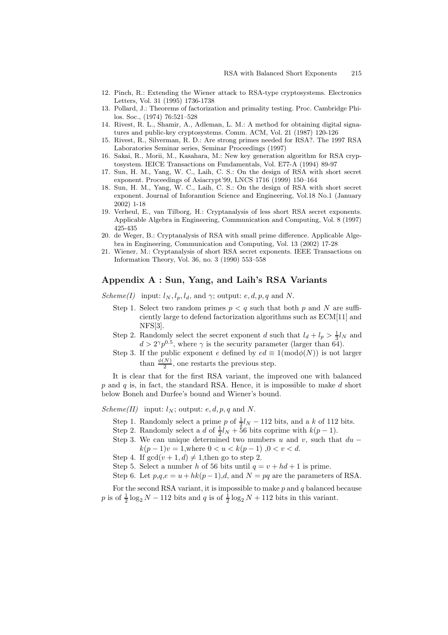- 12. Pinch, R.: Extending the Wiener attack to RSA-type cryptosystems. Electronics Letters, Vol. 31 (1995) 1736-1738
- 13. Pollard, J.: Theorems of factorization and primality testing. Proc. Cambridge Philos. Soc., (1974) 76:521–528
- 14. Rivest, R. L., Shamir, A., Adleman, L. M.: A method for obtaining digital signatures and public-key cryptosystems. Comm. ACM, Vol. 21 (1987) 120-126
- 15. Rivest, R., Silverman, R. D.: Are strong primes needed for RSA?. The 1997 RSA Laboratories Seminar series, Seminar Proceedings (1997)
- 16. Sakai, R., Morii, M., Kasahara, M.: New key generation algorithm for RSA cryptosystem. IEICE Transactions on Fundamentals, Vol. E77-A (1994) 89-97
- 17. Sun, H. M., Yang, W. C., Laih, C. S.: On the design of RSA with short secret exponent. Proceedings of Asiacrypt'99, LNCS 1716 (1999) 150–164
- 18. Sun, H. M., Yang, W. C., Laih, C. S.: On the design of RSA with short secret exponent. Journal of Inforamtion Science and Engineering, Vol.18 No.1 (January 2002) 1-18
- 19. Verheul, E., van Tilborg, H.: Cryptanalysis of less short RSA secret exponents. Applicable Algebra in Engineering, Communication and Computing, Vol. 8 (1997) 425-435
- 20. de Weger, B.: Cryptanalysis of RSA with small prime difference. Applicable Algebra in Engineering, Communication and Computing, Vol. 13 (2002) 17-28
- 21. Wiener, M.: Cryptanalysis of short RSA secret exponents. IEEE Transactions on Information Theory, Vol. 36, no. 3 (1990) 553–558

## Appendix A : Sun, Yang, and Laih's RSA Variants

Scheme(I) input:  $l_N, l_p, l_d$ , and  $\gamma$ ; output: e, d, p, q and N.

- Step 1. Select two random primes  $p < q$  such that both p and N are sufficiently large to defend factorization algorithms such as ECM[11] and NFS[3].
- Step 2. Randomly select the secret exponent d such that  $l_d + l_p > \frac{1}{3}l_N$  and  $d > 2^{\gamma} p^{0.5}$ , where  $\gamma$  is the security parameter (larger than 64).
- Step 3. If the public exponent e defined by  $ed \equiv 1(\bmod{\phi(N)})$  is not larger than  $\frac{\phi(N)}{2}$ , one restarts the previous step.

It is clear that for the first RSA variant, the improved one with balanced  $p$  and  $q$  is, in fact, the standard RSA. Hence, it is impossible to make  $d$  short below Boneh and Durfee's bound and Wiener's bound.

- Scheme(II) input:  $l_N$ ; output: e, d, p, q and N.
	- Step 1. Randomly select a prime p of  $\frac{1}{2}l_N 112$  bits, and a k of 112 bits.
	- Step 2. Randomly select a d of  $\frac{1}{2}l_N + 56$  bits coprime with  $k(p-1)$ .
	- Step 3. We can unique determined two numbers u and v, such that  $du$  $k(p-1)v = 1$ , where  $0 < u < k(p-1)$ ,  $0 < v < d$ .
	- Step 4. If  $gcd(v + 1, d) \neq 1$ , then go to step 2.
	- Step 5. Select a number h of 56 bits until  $q = v + hd + 1$  is prime.
	- Step 6. Let  $p,q,e = u + hk(p-1),d$ , and  $N = pq$  are the parameters of RSA.

For the second RSA variant, it is impossible to make  $p$  and  $q$  balanced because p is of  $\frac{1}{2} \log_2 N - 112$  bits and q is of  $\frac{1}{2} \log_2 N + 112$  bits in this variant.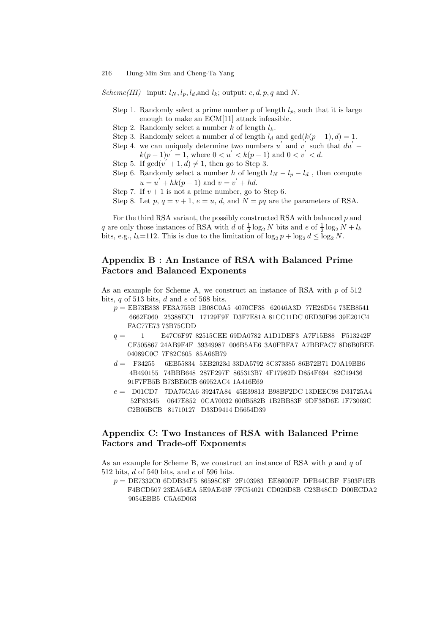Scheme(III) input:  $l_N, l_n, l_d$ , and  $l_k$ ; output: e, d, p, q and N.

- Step 1. Randomly select a prime number p of length  $l_p$ , such that it is large enough to make an ECM[11] attack infeasible.
- Step 2. Randomly select a number  $k$  of length  $l_k$ .
- Step 3. Randomly select a number d of length  $l_d$  and  $gcd(k(p-1), d) = 1$ .
- Step 4. we can uniquely determine two numbers u and v such that  $du'$   $k(p-1)v' = 1$ , where  $0 < u' < k(p-1)$  and  $0 < v' < d$ .
- Step 5. If  $gcd(v'+1, d) \neq 1$ , then go to Step 3.
- Step 6. Randomly select a number h of length  $l_N l_p l_d$ , then compute  $u = u' + hk(p-1)$  and  $v = v' + hd$ .
- Step 7. If  $v + 1$  is not a prime number, go to Step 6.
- Step 8. Let p,  $q = v + 1$ ,  $e = u$ , d, and  $N = pq$  are the parameters of RSA.

For the third RSA variant, the possibly constructed RSA with balanced  $p$  and q are only those instances of RSA with d of  $\frac{1}{2} \log_2 N$  bits and e of  $\frac{1}{2} \log_2 N + l_k$ bits, e.g.,  $l_k=112$ . This is due to the limitation of  $\log_2 p + \log_2 d \leq \log_2 N$ .

## Appendix B : An Instance of RSA with Balanced Prime Factors and Balanced Exponents

As an example for Scheme A, we construct an instance of RSA with  $p$  of  $512$ bits,  $q$  of 513 bits,  $d$  and  $e$  of 568 bits.

- $p =$ EB73E838 FE3A755B 1B08C0A5 4070CF38 62046A3D 77E26D54 73EB8541 6662E060 25388EC1 17129F9F D3F7E81A 81CC11DC 0ED30F96 39E201C4 FAC77E73 73B75CDD
- $q = 1$  E47C6F97 82515CEE 69DA0782 A1D1DEF3 A7F15B88 F513242F CF505867 24AB9F4F 39349987 006B5AE6 3A0FBFA7 A7BBFAC7 8D6B0BEE 04089C0C 7F82C605 85A66B79
- $d =$  F34255 6EB55834 5EB2023d 33DA5792 8C373385 86B72B71 D0A19BB6 4B490155 74BBB648 287F297F 865313B7 4F17982D D854F694 82C19436 91F7FB5B B73BE6CB 66952AC4 1A416E69
- $e =$  D01CD7 7DA75CA6 39247A84 45E39813 B98BF2DC 13DEEC98 D31725A4 52F83345 0647E852 0CA70032 600B582B 1B2BB83F 9DF38D6E 1F73069C C2B05BCB 81710127 D33D9414 D5654D39

## Appendix C: Two Instances of RSA with Balanced Prime Factors and Trade-off Exponents

As an example for Scheme B, we construct an instance of RSA with  $p$  and  $q$  of 512 bits, d of 540 bits, and e of 596 bits.

 $p =$  DE7332C0 6DDB34F5 86598C8F 2F103983 EE86007F DFB44CBF F503F1EB F4BCD507 23EA54EA 5E9AE43F 7FC54021 CD026D8B C23B48CD D00ECDA2 9054EBB5 C5A6D063